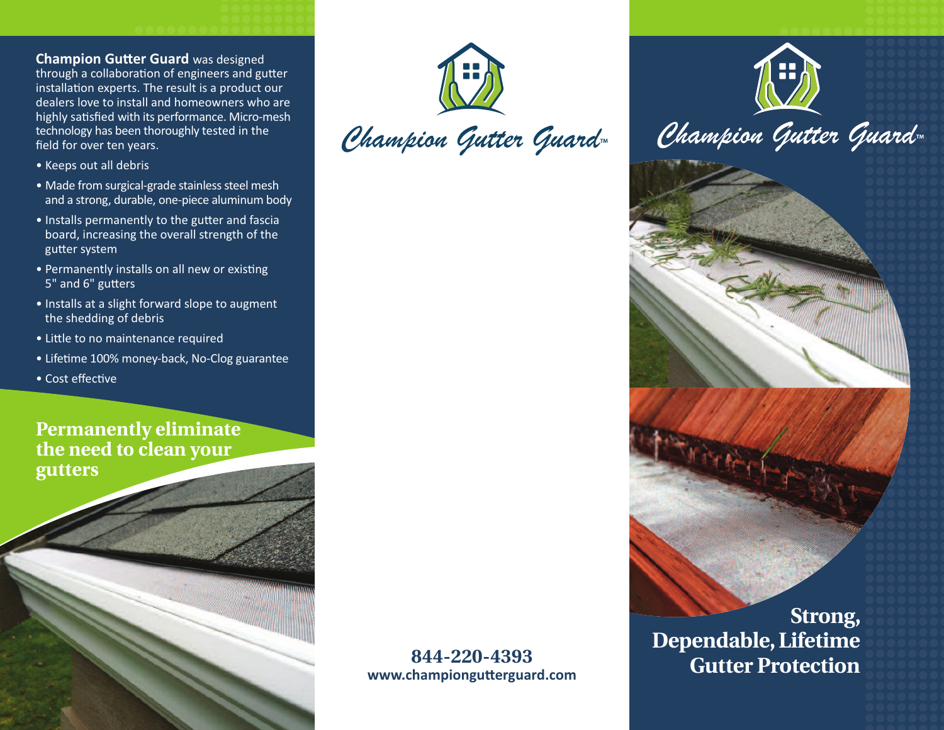**Champion Gutter Guard** was designed through a collaboration of engineers and gutter installation experts. The result is a product our dealers love to install and homeowners who are highly satisfied with its performance. Micro-mesh technology has been thoroughly tested in the field for over ten years.

- Keeps out all debris
- Made from surgical-grade stainless steel mesh and a strong, durable, one-piece aluminum body
- Installs permanently to the gutter and fascia board, increasing the overall strength of the gutter system
- Permanently installs on all new or existing 5" and 6" gutters
- Installs at a slight forward slope to augment the shedding of debris
- Little to no maintenance required
- Lifetime 100% money-back, No-Clog guarantee
- Cost effective

**Permanently eliminate the need to clean your gutters**

Champion Gutter Guard

## **844-220-4393 www.championgutterguard.com**

**Strong, Dependable,Lifetime Gutter Protection**

Champion Gutter Guard